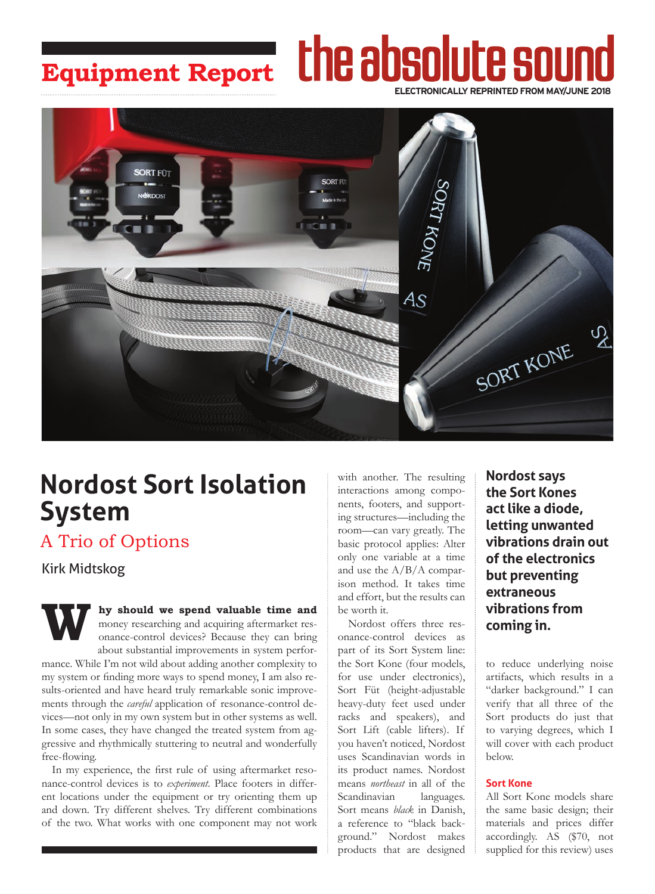### the absolute soun **Equipment Report ELECTRONICALLY REPRINTED FROM MAY/JUNE 2018**



# **Nordost Sort Isolation System**

## A Trio of Options

Kirk Midtskog

**We should we spend valuable time and** money researching and acquiring aftermarket resonance-control devices? Because they can bring about substantial improvements in system performoney researching and acquiring aftermarket resonance-control devices? Because they can bring about substantial improvements in system performance. While I'm not wild about adding another complexity to my system or finding more ways to spend money, I am also results-oriented and have heard truly remarkable sonic improvements through the *careful* application of resonance-control devices—not only in my own system but in other systems as well. In some cases, they have changed the treated system from aggressive and rhythmically stuttering to neutral and wonderfully free-flowing.

In my experience, the first rule of using aftermarket resonance-control devices is to *experiment*. Place footers in different locations under the equipment or try orienting them up and down. Try different shelves. Try different combinations of the two. What works with one component may not work

with another. The resulting interactions among components, footers, and supporting structures—including the room—can vary greatly. The basic protocol applies: Alter only one variable at a time and use the A/B/A comparison method. It takes time and effort, but the results can be worth it.

Nordost offers three resonance-control devices as part of its Sort System line: the Sort Kone (four models, for use under electronics), Sort Füt (height-adjustable heavy-duty feet used under racks and speakers), and Sort Lift (cable lifters). If you haven't noticed, Nordost uses Scandinavian words in its product names. Nordost means *northeast* in all of the Scandinavian languages. Sort means *black* in Danish, a reference to "black background." Nordost makes products that are designed

**Nordost says the Sort Kones act like a diode, letting unwanted vibrations drain out of the electronics but preventing extraneous vibrations from coming in.**

to reduce underlying noise artifacts, which results in a "darker background." I can verify that all three of the Sort products do just that to varying degrees, which I will cover with each product below.

### **Sort Kone**

All Sort Kone models share the same basic design; their materials and prices differ accordingly. AS (\$70, not supplied for this review) uses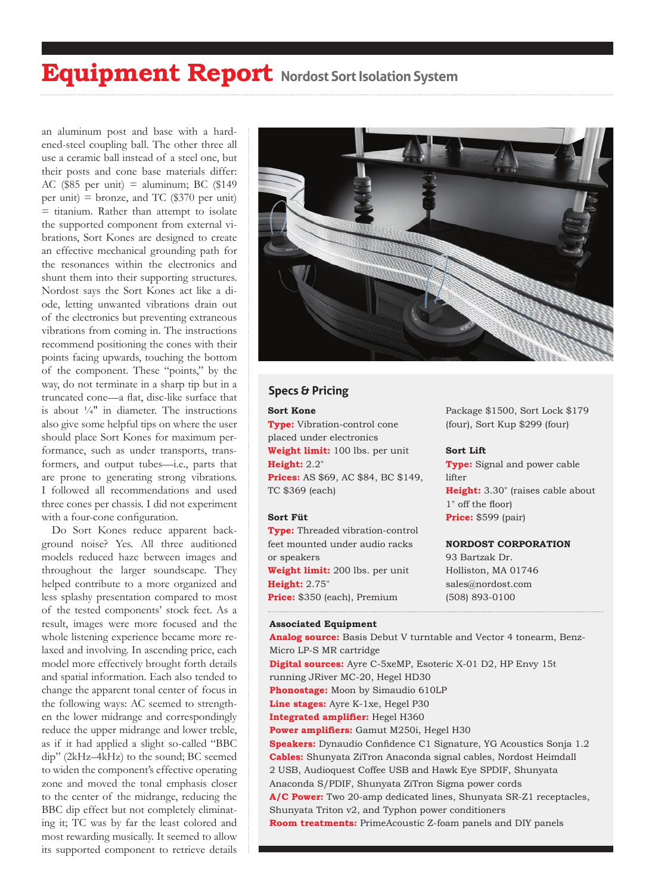# **Equipment Report Nordost Sort Isolation System**

an aluminum post and base with a hardened-steel coupling ball. The other three all use a ceramic ball instead of a steel one, but their posts and cone base materials differ: AC (\$85 per unit) = aluminum; BC (\$149) per unit) = bronze, and TC  $(\$370$  per unit)  $=$  titanium. Rather than attempt to isolate the supported component from external vibrations, Sort Kones are designed to create an effective mechanical grounding path for the resonances within the electronics and shunt them into their supporting structures. Nordost says the Sort Kones act like a diode, letting unwanted vibrations drain out of the electronics but preventing extraneous vibrations from coming in. The instructions recommend positioning the cones with their points facing upwards, touching the bottom of the component. These "points," by the way, do not terminate in a sharp tip but in a truncated cone—a flat, disc-like surface that is about  $\frac{1}{4}$ " in diameter. The instructions also give some helpful tips on where the user should place Sort Kones for maximum performance, such as under transports, transformers, and output tubes—i.e., parts that are prone to generating strong vibrations. I followed all recommendations and used three cones per chassis. I did not experiment with a four-cone configuration.

Do Sort Kones reduce apparent background noise? Yes. All three auditioned models reduced haze between images and throughout the larger soundscape. They helped contribute to a more organized and less splashy presentation compared to most of the tested components' stock feet. As a result, images were more focused and the whole listening experience became more relaxed and involving. In ascending price, each model more effectively brought forth details and spatial information. Each also tended to change the apparent tonal center of focus in the following ways: AC seemed to strengthen the lower midrange and correspondingly reduce the upper midrange and lower treble, as if it had applied a slight so-called "BBC dip" (2kHz–4kHz) to the sound; BC seemed to widen the component's effective operating zone and moved the tonal emphasis closer to the center of the midrange, reducing the BBC dip effect but not completely eliminating it; TC was by far the least colored and most rewarding musically. It seemed to allow its supported component to retrieve details



### **Specs & Pricing**

#### **Sort Kone**

**Type:** Vibration-control cone placed under electronics **Weight limit:** 100 lbs. per unit **Height:** 2.2" **Prices:** AS \$69, AC \$84, BC \$149, TC \$369 (each)

#### **Sort Füt**

**Type:** Threaded vibration-control feet mounted under audio racks or speakers **Weight limit:** 200 lbs. per unit **Height:** 2.75" **Price:** \$350 (each), Premium

#### **Associated Equipment**

**Analog source:** Basis Debut V turntable and Vector 4 tonearm, Benz-Micro LP-S MR cartridge **Digital sources:** Ayre C-5xeMP, Esoteric X-01 D2, HP Envy 15t running JRiver MC-20, Hegel HD30 **Phonostage:** Moon by Simaudio 610LP **Line stages:** Ayre K-1xe, Hegel P30 **Integrated amplifier:** Hegel H360 **Power amplifiers:** Gamut M250i, Hegel H30 **Speakers:** Dynaudio Confidence C1 Signature, YG Acoustics Sonja 1.2 **Cables:** Shunyata ZiTron Anaconda signal cables, Nordost Heimdall 2 USB, Audioquest Coffee USB and Hawk Eye SPDIF, Shunyata Anaconda S/PDIF, Shunyata ZiTron Sigma power cords **A/C Power:** Two 20-amp dedicated lines, Shunyata SR-Z1 receptacles, Shunyata Triton v2, and Typhon power conditioners **Room treatments:** PrimeAcoustic Z-foam panels and DIY panels

Package \$1500, Sort Lock \$179 (four), Sort Kup \$299 (four)

#### **Sort Lift**

**Type:** Signal and power cable lifter **Height:** 3.30" (raises cable about 1" off the floor) **Price:** \$599 (pair)

#### **NORDOST CORPORATION**

93 Bartzak Dr. Holliston, MA 01746 sales@nordost.com (508) 893-0100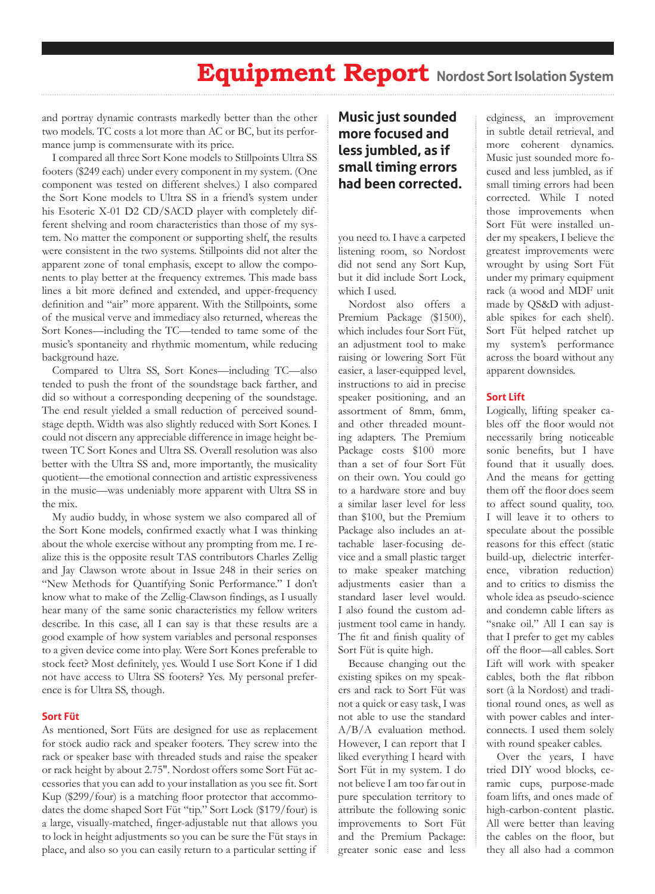## **Equipment Report Nordost Sort Isolation System**

and portray dynamic contrasts markedly better than the other two models. TC costs a lot more than AC or BC, but its performance jump is commensurate with its price.

I compared all three Sort Kone models to Stillpoints Ultra SS footers (\$249 each) under every component in my system. (One component was tested on different shelves.) I also compared the Sort Kone models to Ultra SS in a friend's system under his Esoteric X-01 D2 CD/SACD player with completely different shelving and room characteristics than those of my system. No matter the component or supporting shelf, the results were consistent in the two systems. Stillpoints did not alter the apparent zone of tonal emphasis, except to allow the components to play better at the frequency extremes. This made bass lines a bit more defined and extended, and upper-frequency definition and "air" more apparent. With the Stillpoints, some of the musical verve and immediacy also returned, whereas the Sort Kones—including the TC—tended to tame some of the music's spontaneity and rhythmic momentum, while reducing background haze.

Compared to Ultra SS, Sort Kones—including TC—also tended to push the front of the soundstage back farther, and did so without a corresponding deepening of the soundstage. The end result yielded a small reduction of perceived soundstage depth. Width was also slightly reduced with Sort Kones. I could not discern any appreciable difference in image height between TC Sort Kones and Ultra SS. Overall resolution was also better with the Ultra SS and, more importantly, the musicality quotient—the emotional connection and artistic expressiveness in the music—was undeniably more apparent with Ultra SS in the mix.

My audio buddy, in whose system we also compared all of the Sort Kone models, confirmed exactly what I was thinking about the whole exercise without any prompting from me. I realize this is the opposite result TAS contributors Charles Zellig and Jay Clawson wrote about in Issue 248 in their series on "New Methods for Quantifying Sonic Performance." I don't know what to make of the Zellig-Clawson findings, as I usually hear many of the same sonic characteristics my fellow writers describe. In this case, all I can say is that these results are a good example of how system variables and personal responses to a given device come into play. Were Sort Kones preferable to stock feet? Most definitely, yes. Would I use Sort Kone if I did not have access to Ultra SS footers? Yes. My personal preference is for Ultra SS, though.

#### **Sort Füt**

As mentioned, Sort Füts are designed for use as replacement for stock audio rack and speaker footers. They screw into the rack or speaker base with threaded studs and raise the speaker or rack height by about 2.75". Nordost offers some Sort Füt accessories that you can add to your installation as you see fit. Sort Kup (\$299/four) is a matching floor protector that accommodates the dome shaped Sort Füt "tip." Sort Lock (\$179/four) is a large, visually-matched, finger-adjustable nut that allows you to lock in height adjustments so you can be sure the Füt stays in place, and also so you can easily return to a particular setting if

### **Music just sounded more focused and less jumbled, as if small timing errors had been corrected.**

you need to. I have a carpeted listening room, so Nordost did not send any Sort Kup, but it did include Sort Lock, which I used.

Nordost also offers a Premium Package (\$1500), which includes four Sort Füt, an adjustment tool to make raising or lowering Sort Füt easier, a laser-equipped level, instructions to aid in precise speaker positioning, and an assortment of 8mm, 6mm, and other threaded mounting adapters. The Premium Package costs \$100 more than a set of four Sort Füt on their own. You could go to a hardware store and buy a similar laser level for less than \$100, but the Premium Package also includes an attachable laser-focusing device and a small plastic target to make speaker matching adjustments easier than a standard laser level would. I also found the custom adjustment tool came in handy. The fit and finish quality of Sort Füt is quite high.

Because changing out the existing spikes on my speakers and rack to Sort Füt was not a quick or easy task, I was not able to use the standard A/B/A evaluation method. However, I can report that I liked everything I heard with Sort Füt in my system. I do not believe I am too far out in pure speculation territory to attribute the following sonic improvements to Sort Füt and the Premium Package: greater sonic ease and less

edginess, an improvement in subtle detail retrieval, and more coherent dynamics. Music just sounded more focused and less jumbled, as if small timing errors had been corrected. While I noted those improvements when Sort Füt were installed under my speakers, I believe the greatest improvements were wrought by using Sort Füt under my primary equipment rack (a wood and MDF unit made by QS&D with adjustable spikes for each shelf). Sort Füt helped ratchet up my system's performance across the board without any apparent downsides.

#### **Sort Lift**

Logically, lifting speaker cables off the floor would not necessarily bring noticeable sonic benefits, but I have found that it usually does. And the means for getting them off the floor does seem to affect sound quality, too. I will leave it to others to speculate about the possible reasons for this effect (static build-up, dielectric interference, vibration reduction) and to critics to dismiss the whole idea as pseudo-science and condemn cable lifters as "snake oil." All I can say is that I prefer to get my cables off the floor—all cables. Sort Lift will work with speaker cables, both the flat ribbon sort (à la Nordost) and traditional round ones, as well as with power cables and interconnects. I used them solely with round speaker cables.

Over the years, I have tried DIY wood blocks, ceramic cups, purpose-made foam lifts, and ones made of high-carbon-content plastic. All were better than leaving the cables on the floor, but they all also had a common